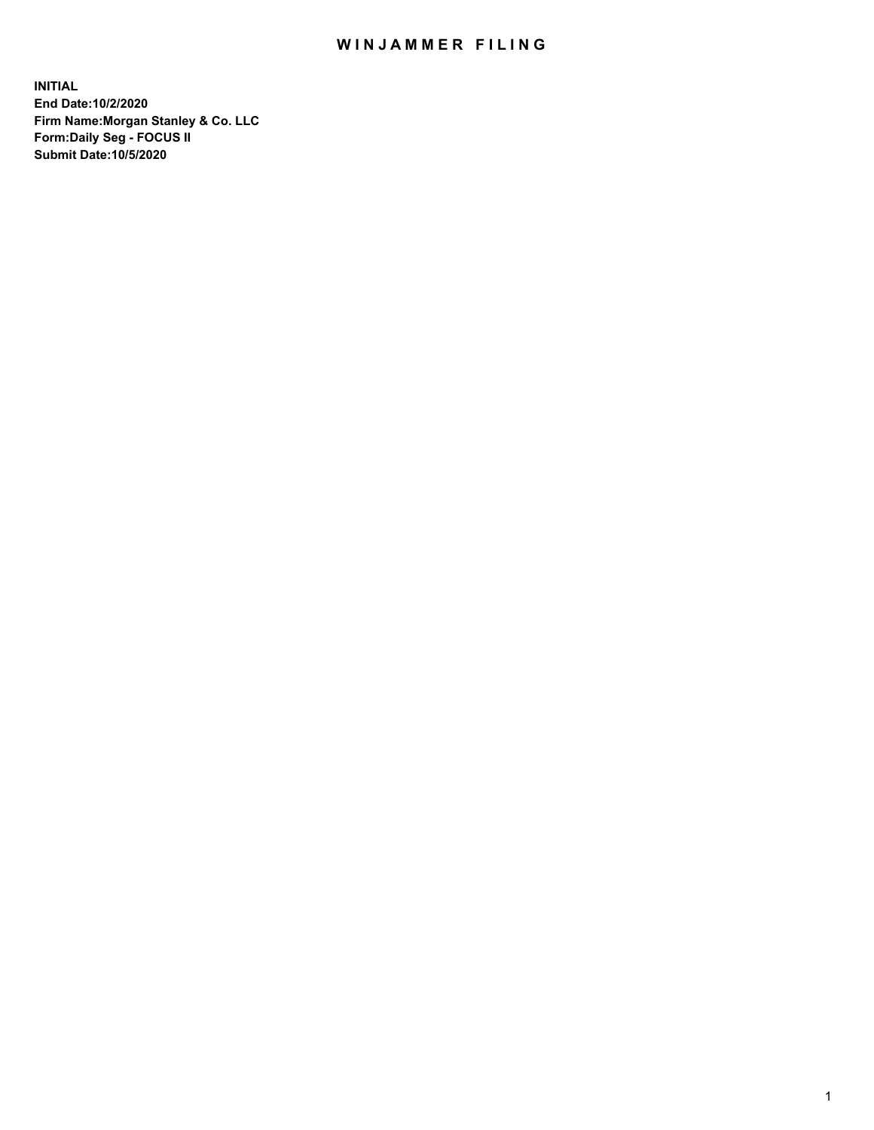## WIN JAMMER FILING

**INITIAL End Date:10/2/2020 Firm Name:Morgan Stanley & Co. LLC Form:Daily Seg - FOCUS II Submit Date:10/5/2020**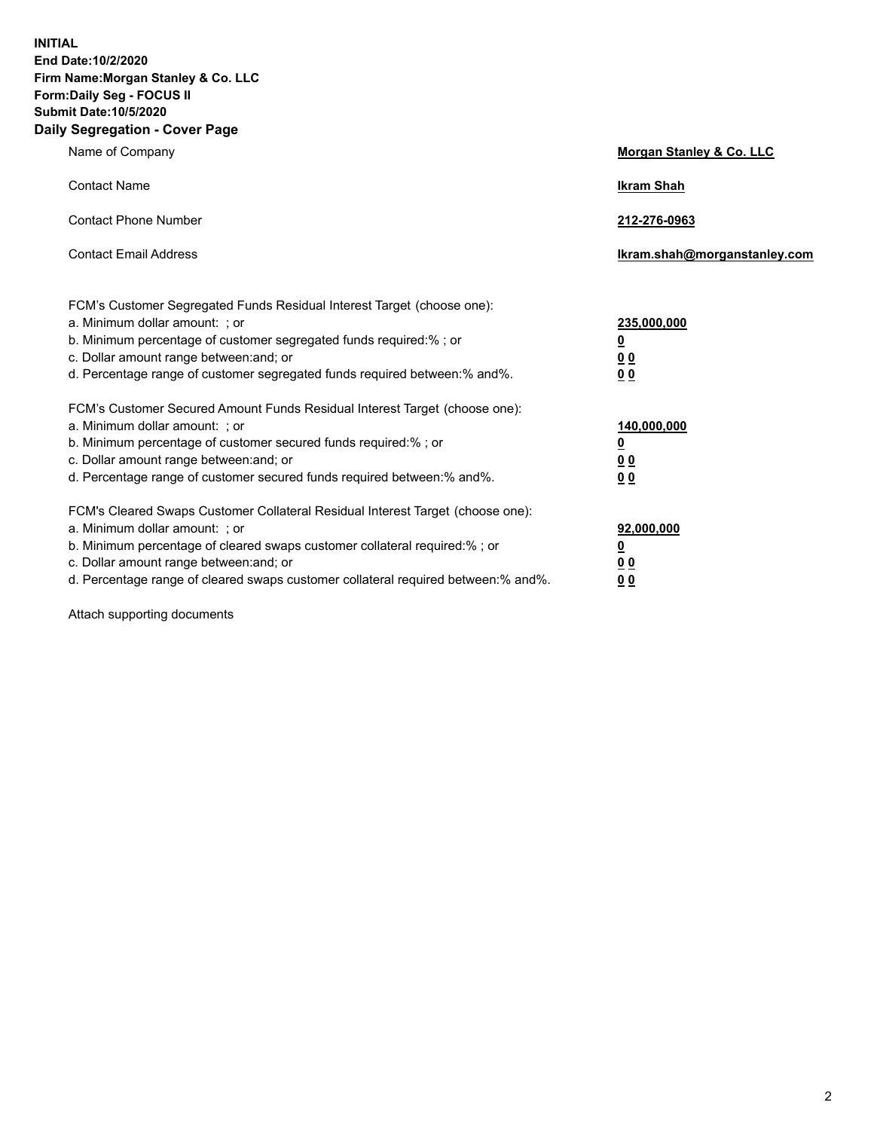**INITIAL End Date:10/2/2020 Firm Name:Morgan Stanley & Co. LLC Form:Daily Seg - FOCUS II Submit Date:10/5/2020 Daily Segregation - Cover Page**

| Name of Company                                                                                                                                                                                                                                                                                                                | Morgan Stanley & Co. LLC                                    |
|--------------------------------------------------------------------------------------------------------------------------------------------------------------------------------------------------------------------------------------------------------------------------------------------------------------------------------|-------------------------------------------------------------|
| <b>Contact Name</b>                                                                                                                                                                                                                                                                                                            | <b>Ikram Shah</b>                                           |
| <b>Contact Phone Number</b>                                                                                                                                                                                                                                                                                                    | 212-276-0963                                                |
| <b>Contact Email Address</b>                                                                                                                                                                                                                                                                                                   | Ikram.shah@morganstanley.com                                |
| FCM's Customer Segregated Funds Residual Interest Target (choose one):<br>a. Minimum dollar amount: ; or<br>b. Minimum percentage of customer segregated funds required:% ; or<br>c. Dollar amount range between: and; or<br>d. Percentage range of customer segregated funds required between:% and%.                         | 235,000,000<br><u>0</u><br><u>00</u><br>00                  |
| FCM's Customer Secured Amount Funds Residual Interest Target (choose one):<br>a. Minimum dollar amount: ; or<br>b. Minimum percentage of customer secured funds required:%; or<br>c. Dollar amount range between: and; or<br>d. Percentage range of customer secured funds required between: % and %.                          | 140,000,000<br><u>0</u><br>0 <sub>0</sub><br>0 <sub>0</sub> |
| FCM's Cleared Swaps Customer Collateral Residual Interest Target (choose one):<br>a. Minimum dollar amount: ; or<br>b. Minimum percentage of cleared swaps customer collateral required:% ; or<br>c. Dollar amount range between: and; or<br>d. Percentage range of cleared swaps customer collateral required between:% and%. | 92,000,000<br><u>0</u><br><u>00</u><br>00                   |

Attach supporting documents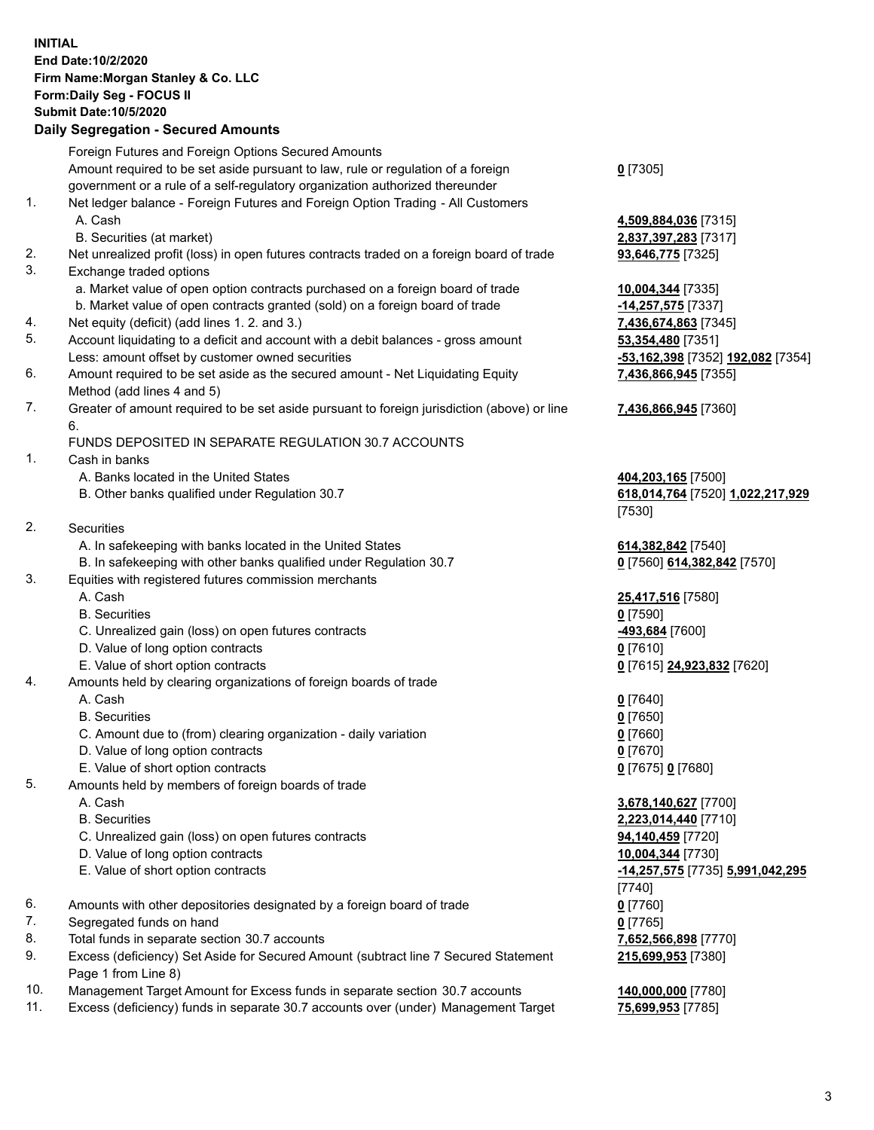## **INITIAL End Date:10/2/2020 Firm Name:Morgan Stanley & Co. LLC Form:Daily Seg - FOCUS II Submit Date:10/5/2020**

## **Daily Segregation - Secured Amounts**

|     | Foreign Futures and Foreign Options Secured Amounts                                                |                                   |
|-----|----------------------------------------------------------------------------------------------------|-----------------------------------|
|     | Amount required to be set aside pursuant to law, rule or regulation of a foreign                   | $0$ [7305]                        |
|     | government or a rule of a self-regulatory organization authorized thereunder                       |                                   |
| 1.  | Net ledger balance - Foreign Futures and Foreign Option Trading - All Customers                    |                                   |
|     | A. Cash                                                                                            | 4,509,884,036 [7315]              |
|     | B. Securities (at market)                                                                          | 2,837,397,283 [7317]              |
| 2.  | Net unrealized profit (loss) in open futures contracts traded on a foreign board of trade          | 93,646,775 [7325]                 |
| 3.  | Exchange traded options                                                                            |                                   |
|     | a. Market value of open option contracts purchased on a foreign board of trade                     | 10,004,344 [7335]                 |
|     | b. Market value of open contracts granted (sold) on a foreign board of trade                       | -14,257,575 [7337]                |
| 4.  | Net equity (deficit) (add lines 1.2. and 3.)                                                       | 7,436,674,863 [7345]              |
| 5.  | Account liquidating to a deficit and account with a debit balances - gross amount                  | 53,354,480 [7351]                 |
|     | Less: amount offset by customer owned securities                                                   | -53,162,398 [7352] 192,082 [7354] |
| 6.  | Amount required to be set aside as the secured amount - Net Liquidating Equity                     | 7,436,866,945 [7355]              |
|     | Method (add lines 4 and 5)                                                                         |                                   |
| 7.  | Greater of amount required to be set aside pursuant to foreign jurisdiction (above) or line        | 7,436,866,945 [7360]              |
|     | 6.                                                                                                 |                                   |
|     | FUNDS DEPOSITED IN SEPARATE REGULATION 30.7 ACCOUNTS                                               |                                   |
| 1.  | Cash in banks                                                                                      |                                   |
|     | A. Banks located in the United States                                                              | 404,203,165 [7500]                |
|     | B. Other banks qualified under Regulation 30.7                                                     | 618,014,764 [7520] 1,022,217,929  |
|     |                                                                                                    | [7530]                            |
| 2.  | Securities                                                                                         |                                   |
|     | A. In safekeeping with banks located in the United States                                          | 614,382,842 [7540]                |
|     | B. In safekeeping with other banks qualified under Regulation 30.7                                 | 0 [7560] 614,382,842 [7570]       |
| 3.  | Equities with registered futures commission merchants                                              |                                   |
|     | A. Cash                                                                                            | 25,417,516 [7580]                 |
|     | <b>B.</b> Securities                                                                               | $0$ [7590]                        |
|     | C. Unrealized gain (loss) on open futures contracts                                                | -493,684 [7600]                   |
|     | D. Value of long option contracts                                                                  | $0$ [7610]                        |
|     | E. Value of short option contracts                                                                 | 0 [7615] 24,923,832 [7620]        |
| 4.  | Amounts held by clearing organizations of foreign boards of trade                                  |                                   |
|     | A. Cash                                                                                            | $0$ [7640]                        |
|     | <b>B.</b> Securities                                                                               | $0$ [7650]                        |
|     | C. Amount due to (from) clearing organization - daily variation                                    | $0$ [7660]                        |
|     | D. Value of long option contracts                                                                  | $0$ [7670]                        |
|     | E. Value of short option contracts                                                                 | 0 [7675] 0 [7680]                 |
| 5.  | Amounts held by members of foreign boards of trade                                                 |                                   |
|     | A. Cash                                                                                            | 3,678,140,627 [7700]              |
|     | <b>B.</b> Securities                                                                               | 2,223,014,440 [7710]              |
|     | C. Unrealized gain (loss) on open futures contracts                                                | 94,140,459 [7720]                 |
|     | D. Value of long option contracts                                                                  | 10,004,344 [7730]                 |
|     | E. Value of short option contracts                                                                 | -14,257,575 [7735] 5,991,042,295  |
|     |                                                                                                    | [7740]                            |
| 6.  | Amounts with other depositories designated by a foreign board of trade                             | $0$ [7760]                        |
| 7.  | Segregated funds on hand                                                                           | $0$ [7765]                        |
| 8.  | Total funds in separate section 30.7 accounts                                                      | 7,652,566,898 [7770]              |
| 9.  | Excess (deficiency) Set Aside for Secured Amount (subtract line 7 Secured Statement                | 215,699,953 [7380]                |
| 10. | Page 1 from Line 8)<br>Management Target Amount for Excess funds in separate section 30.7 accounts | 140,000,000 [7780]                |
|     |                                                                                                    |                                   |

11. Excess (deficiency) funds in separate 30.7 accounts over (under) Management Target **75,699,953** [7785]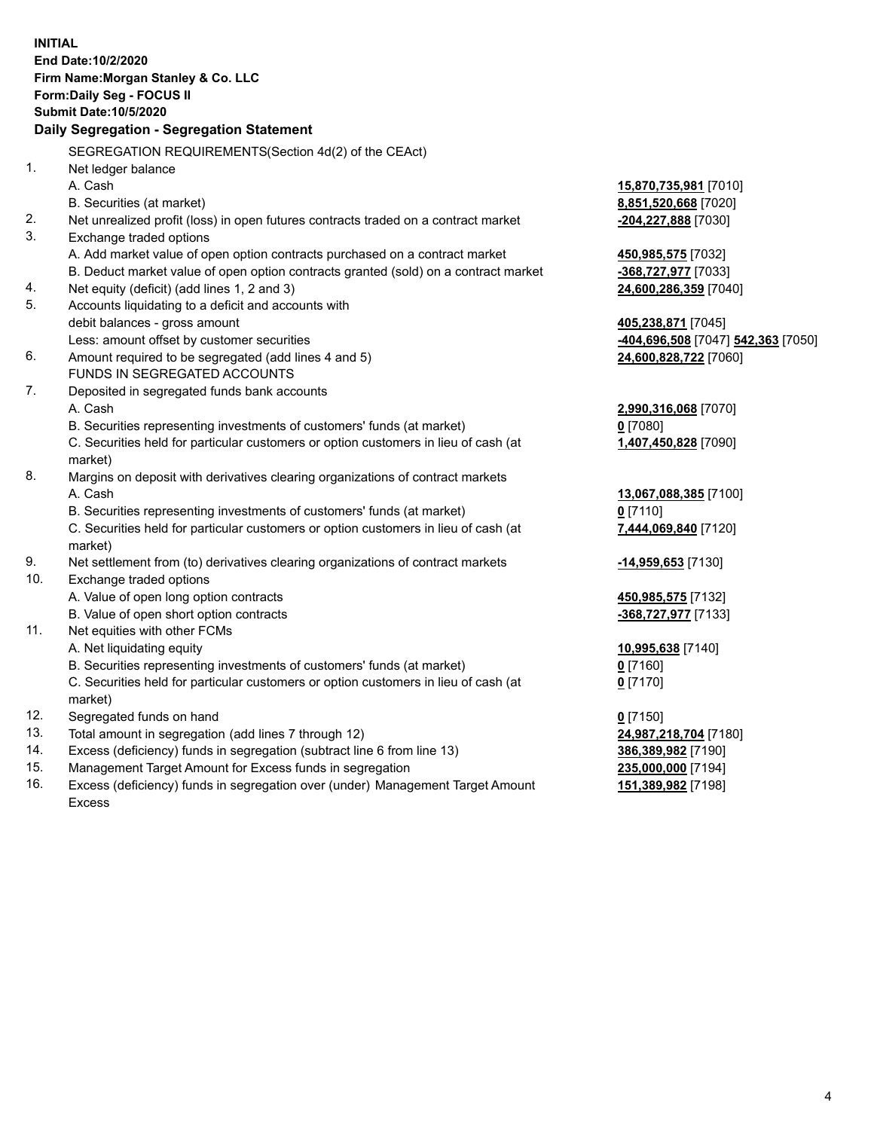|     | <b>INITIAL</b>                                                                                                                                                     |                                              |
|-----|--------------------------------------------------------------------------------------------------------------------------------------------------------------------|----------------------------------------------|
|     | End Date:10/2/2020                                                                                                                                                 |                                              |
|     | Firm Name: Morgan Stanley & Co. LLC                                                                                                                                |                                              |
|     | Form: Daily Seg - FOCUS II                                                                                                                                         |                                              |
|     | <b>Submit Date: 10/5/2020</b>                                                                                                                                      |                                              |
|     | Daily Segregation - Segregation Statement                                                                                                                          |                                              |
|     | SEGREGATION REQUIREMENTS(Section 4d(2) of the CEAct)                                                                                                               |                                              |
| 1.  |                                                                                                                                                                    |                                              |
|     | Net ledger balance                                                                                                                                                 |                                              |
|     | A. Cash                                                                                                                                                            | 15,870,735,981 [7010]                        |
| 2.  | B. Securities (at market)                                                                                                                                          | 8,851,520,668 [7020]                         |
| 3.  | Net unrealized profit (loss) in open futures contracts traded on a contract market<br>Exchange traded options                                                      | -204,227,888 [7030]                          |
|     |                                                                                                                                                                    |                                              |
|     | A. Add market value of open option contracts purchased on a contract market<br>B. Deduct market value of open option contracts granted (sold) on a contract market | 450,985,575 [7032]                           |
| 4.  | Net equity (deficit) (add lines 1, 2 and 3)                                                                                                                        | -368,727,977 [7033]<br>24,600,286,359 [7040] |
| 5.  | Accounts liquidating to a deficit and accounts with                                                                                                                |                                              |
|     | debit balances - gross amount                                                                                                                                      | 405,238,871 [7045]                           |
|     | Less: amount offset by customer securities                                                                                                                         | -404,696,508 [7047] 542,363 [7050]           |
| 6.  | Amount required to be segregated (add lines 4 and 5)                                                                                                               | 24,600,828,722 [7060]                        |
|     | FUNDS IN SEGREGATED ACCOUNTS                                                                                                                                       |                                              |
| 7.  | Deposited in segregated funds bank accounts                                                                                                                        |                                              |
|     | A. Cash                                                                                                                                                            | 2,990,316,068 [7070]                         |
|     | B. Securities representing investments of customers' funds (at market)                                                                                             | $0$ [7080]                                   |
|     | C. Securities held for particular customers or option customers in lieu of cash (at                                                                                | 1,407,450,828 [7090]                         |
|     | market)                                                                                                                                                            |                                              |
| 8.  | Margins on deposit with derivatives clearing organizations of contract markets                                                                                     |                                              |
|     | A. Cash                                                                                                                                                            | 13,067,088,385 [7100]                        |
|     | B. Securities representing investments of customers' funds (at market)                                                                                             | $0$ [7110]                                   |
|     | C. Securities held for particular customers or option customers in lieu of cash (at                                                                                | 7,444,069,840 [7120]                         |
|     | market)                                                                                                                                                            |                                              |
| 9.  | Net settlement from (to) derivatives clearing organizations of contract markets                                                                                    | -14,959,653 [7130]                           |
| 10. | Exchange traded options                                                                                                                                            |                                              |
|     | A. Value of open long option contracts                                                                                                                             | 450,985,575 [7132]                           |
|     | B. Value of open short option contracts                                                                                                                            | -368,727,977 [7133]                          |
| 11. | Net equities with other FCMs                                                                                                                                       |                                              |
|     | A. Net liquidating equity                                                                                                                                          | 10,995,638 [7140]                            |
|     | B. Securities representing investments of customers' funds (at market)                                                                                             | $0$ [7160]                                   |
|     | C. Securities held for particular customers or option customers in lieu of cash (at                                                                                | $0$ [7170]                                   |
|     | market)                                                                                                                                                            |                                              |
| 12. | Segregated funds on hand                                                                                                                                           | $0$ [7150]                                   |
| 13. | Total amount in segregation (add lines 7 through 12)                                                                                                               | 24,987,218,704 [7180]                        |
| 14. | Excess (deficiency) funds in segregation (subtract line 6 from line 13)                                                                                            | 386,389,982 [7190]                           |
| 15. | Management Target Amount for Excess funds in segregation                                                                                                           | 235,000,000 [7194]                           |
| 16. | Excess (deficiency) funds in segregation over (under) Management Target Amount                                                                                     | 151,389,982 [7198]                           |

16. Excess (deficiency) funds in segregation over (under) Management Target Amount Excess